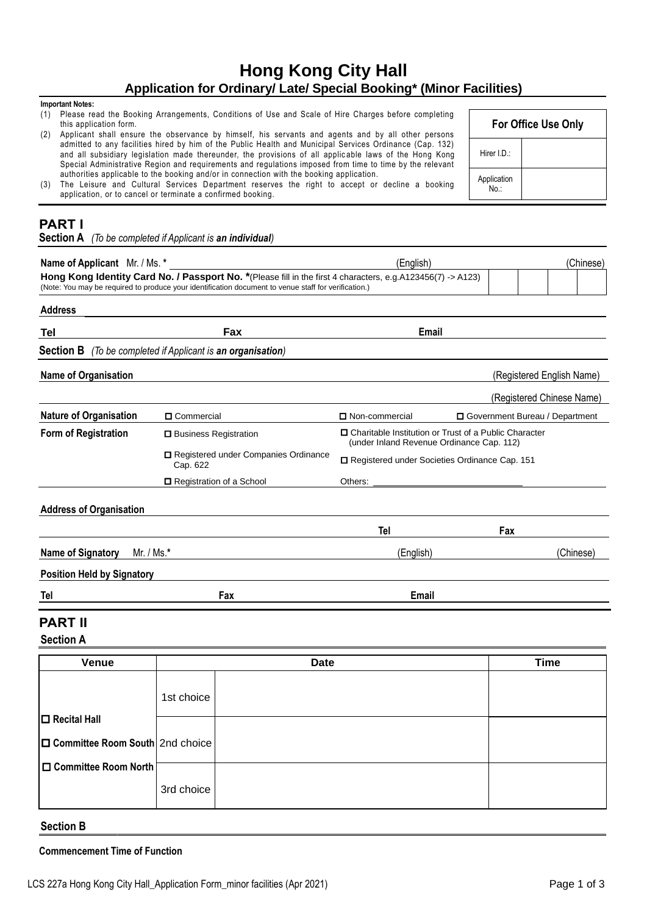# **Hong Kong City Hall Application for Ordinary/ Late/ Special Booking\* (Minor Facilities)**

#### **Important Notes:**

- (1) Please read the Booking Arrangements, Conditions of Use and Scale of Hire Charges before completing this application form.
- (2) Applicant shall ensure the observance by himself, his servants and agents and by all other persons admitted to any facilities hired by him of the Public Health and Municipal Services Ordinance (Cap. 132) and all subsidiary legislation made thereunder, the provisions of all applicable laws of the Hong Kong Special Administrative Region and requirements and regulations imposed from time to time by the relevant authorities applicable to the booking and/or in connection with the booking application.
- (3) The Leisure and Cultural Services Department reserves the right to accept or decline a booking application, or to cancel or terminate a confirmed booking.

|                     | For Office Use Only |
|---------------------|---------------------|
| Hirer I.D.:         |                     |
| Application<br>No · |                     |

# **PART I**

**Section A** *(To be completed if Applicant is an individual)*

| Name of Applicant Mr. / Ms. *                                                                                                                                                                                        |                                                   | (English)                                                                                            |                                         |  |                           | (Chinese) |
|----------------------------------------------------------------------------------------------------------------------------------------------------------------------------------------------------------------------|---------------------------------------------------|------------------------------------------------------------------------------------------------------|-----------------------------------------|--|---------------------------|-----------|
| Hong Kong Identity Card No. / Passport No. *(Please fill in the first 4 characters, e.g. A123456(7) -> A123)<br>(Note: You may be required to produce your identification document to venue staff for verification.) |                                                   |                                                                                                      |                                         |  |                           |           |
| <b>Address</b>                                                                                                                                                                                                       |                                                   |                                                                                                      |                                         |  |                           |           |
| Tel                                                                                                                                                                                                                  | Fax                                               | Email                                                                                                |                                         |  |                           |           |
| <b>Section B</b>                                                                                                                                                                                                     | (To be completed if Applicant is an organisation) |                                                                                                      |                                         |  |                           |           |
| Name of Organisation                                                                                                                                                                                                 |                                                   |                                                                                                      |                                         |  | (Registered English Name) |           |
|                                                                                                                                                                                                                      |                                                   |                                                                                                      | (Registered Chinese Name)               |  |                           |           |
| <b>Nature of Organisation</b>                                                                                                                                                                                        | $\Box$ Commercial                                 | □ Non-commercial                                                                                     | <b>O</b> Government Bureau / Department |  |                           |           |
| <b>Form of Registration</b>                                                                                                                                                                                          | □ Business Registration                           | □ Charitable Institution or Trust of a Public Character<br>(under Inland Revenue Ordinance Cap. 112) |                                         |  |                           |           |
|                                                                                                                                                                                                                      | Registered under Companies Ordinance<br>Cap. 622  | □ Registered under Societies Ordinance Cap. 151                                                      |                                         |  |                           |           |
|                                                                                                                                                                                                                      | □ Registration of a School                        | Others:                                                                                              |                                         |  |                           |           |
| <b>Address of Organisation</b>                                                                                                                                                                                       |                                                   |                                                                                                      |                                         |  |                           |           |
|                                                                                                                                                                                                                      |                                                   | Tel                                                                                                  | Fax                                     |  |                           |           |
| Name of Signatory<br>Mr. / Ms. $*$                                                                                                                                                                                   |                                                   | (English)                                                                                            |                                         |  | (Chinese)                 |           |
| <b>Position Held by Signatory</b>                                                                                                                                                                                    |                                                   |                                                                                                      |                                         |  |                           |           |
| Tel                                                                                                                                                                                                                  | Fax                                               | Email                                                                                                |                                         |  |                           |           |
| <b>PART I</b>                                                                                                                                                                                                        |                                                   |                                                                                                      |                                         |  |                           |           |

# **Section A**

| Venue                                   |            | <b>Date</b> | <b>Time</b> |
|-----------------------------------------|------------|-------------|-------------|
|                                         | 1st choice |             |             |
| $\Box$ Recital Hall                     |            |             |             |
| $ \Box$ Committee Room South 2nd choice |            |             |             |
| □ Committee Room North                  |            |             |             |
|                                         | 3rd choice |             |             |

### **Section B**

**Commencement Time of Function**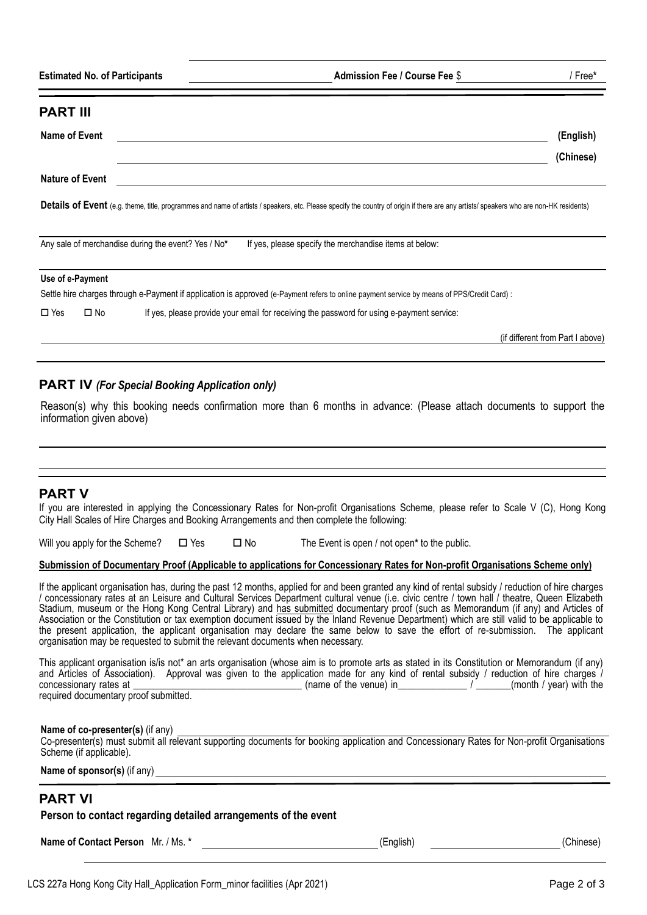|  | <b>Estimated No. of Participants</b> | <b>Admission Fee / Course Fee \$</b> | Free' |
|--|--------------------------------------|--------------------------------------|-------|
|--|--------------------------------------|--------------------------------------|-------|

| <b>PART III</b>        |                  |                                                                                                                                                                                        |                                  |
|------------------------|------------------|----------------------------------------------------------------------------------------------------------------------------------------------------------------------------------------|----------------------------------|
| Name of Event          |                  |                                                                                                                                                                                        | (English)                        |
|                        |                  |                                                                                                                                                                                        | (Chinese)                        |
| <b>Nature of Event</b> |                  |                                                                                                                                                                                        |                                  |
|                        |                  | Details of Event (e.g. theme, title, programmes and name of artists / speakers, etc. Please specify the country of origin if there are any artists/ speakers who are non-HK residents) |                                  |
|                        |                  | Any sale of merchandise during the event? Yes / No*<br>If yes, please specify the merchandise items at below:                                                                          |                                  |
|                        | Use of e-Payment |                                                                                                                                                                                        |                                  |
|                        |                  | Settle hire charges through e-Payment if application is approved (e-Payment refers to online payment service by means of PPS/Credit Card) :                                            |                                  |
| $\Box$ Yes             | $\square$ No     | If yes, please provide your email for receiving the password for using e-payment service:                                                                                              |                                  |
|                        |                  |                                                                                                                                                                                        | (if different from Part I above) |
|                        |                  |                                                                                                                                                                                        |                                  |

### **PART IV** *(For Special Booking Application only)*

Reason(s) why this booking needs confirmation more than 6 months in advance: (Please attach documents to support the information given above)

### **PART V**

If you are interested in applying the Concessionary Rates for Non-profit Organisations Scheme, please refer to Scale V (C), Hong Kong City Hall Scales of Hire Charges and Booking Arrangements and then complete the following:

Will you apply for the Scheme?  $\Box$  Yes  $\Box$  No The Event is open / not open<sup>\*</sup> to the public.

#### **Submission of Documentary Proof (Applicable to applications for Concessionary Rates for Non-profit Organisations Scheme only)**

If the applicant organisation has, during the past 12 months, applied for and been granted any kind of rental subsidy / reduction of hire charges / concessionary rates at an Leisure and Cultural Services Department cultural venue (i.e. civic centre / town hall / theatre, Queen Elizabeth Stadium, museum or the Hong Kong Central Library) and has submitted documentary proof (such as Memorandum (if any) and Articles of Association or the Constitution or tax exemption document issued by the Inland Revenue Department) which are still valid to be applicable to the present application, the applicant organisation may declare the same below to save the effort of re-submission. The applicant organisation may be requested to submit the relevant documents when necessary.

This applicant organisation is/is not\* an arts organisation (whose aim is to promote arts as stated in its Constitution or Memorandum (if any) and Articles of Association). Approval was given to the application made for any kind of rental subsidy / reduction of hire charges / concessionary rates at (name of the venue) in (name of the venue) in required documentary proof submitted.

**Name of co-presenter(s)** (if any) Co-presenter(s) must submit all relevant supporting documents for booking application and Concessionary Rates for Non-profit Organisations Scheme (if applicable).

**Name of sponsor(s)** (if any)

## **PART VI**

**Person to contact regarding detailed arrangements of the event**

**Name of Contact Person** Mr. / Ms. **\*** (English) (English) (English) (Chinese)